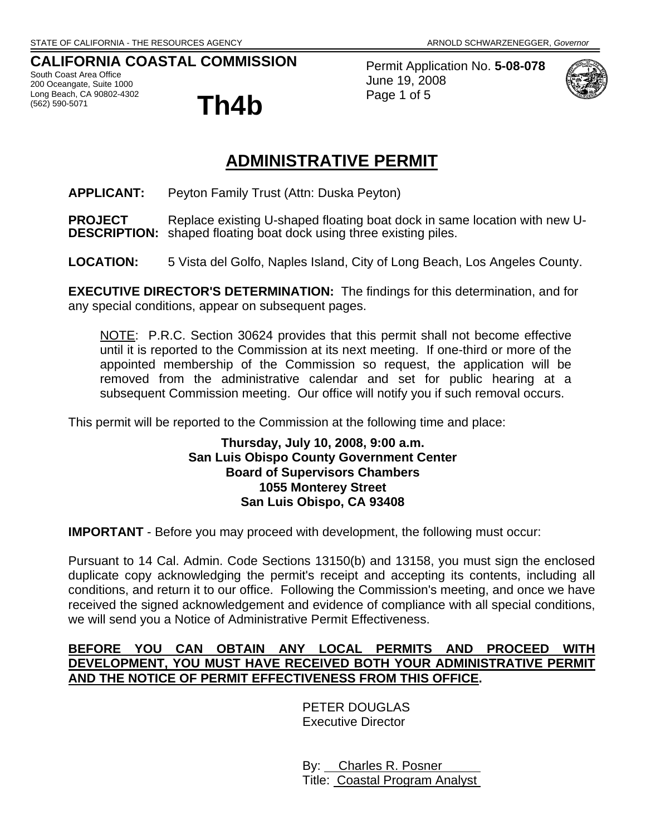# **CALIFORNIA COASTAL COMMISSION**

South Coast Area Office 200 Oceangate, Suite 1000 Long Beach, CA 90802-4302 <sup>Cong</sup> Beach, CA 90802-4302<br>(562) 590-5071 **Th4b** 



Permit Application No. **5-08-078** June 19, 2008 Page 1 of 5



# **ADMINISTRATIVE PERMIT**

**APPLICANT:** Peyton Family Trust (Attn: Duska Peyton)

**PROJECT** Replace existing U-shaped floating boat dock in same location with new U-**DESCRIPTION:** shaped floating boat dock using three existing piles.

**LOCATION:** 5 Vista del Golfo, Naples Island, City of Long Beach, Los Angeles County.

**EXECUTIVE DIRECTOR'S DETERMINATION:** The findings for this determination, and for any special conditions, appear on subsequent pages.

NOTE: P.R.C. Section 30624 provides that this permit shall not become effective until it is reported to the Commission at its next meeting. If one-third or more of the appointed membership of the Commission so request, the application will be removed from the administrative calendar and set for public hearing at a subsequent Commission meeting. Our office will notify you if such removal occurs.

This permit will be reported to the Commission at the following time and place:

#### **Thursday, July 10, 2008, 9:00 a.m. San Luis Obispo County Government Center Board of Supervisors Chambers 1055 Monterey Street San Luis Obispo, CA 93408**

**IMPORTANT** - Before you may proceed with development, the following must occur:

Pursuant to 14 Cal. Admin. Code Sections 13150(b) and 13158, you must sign the enclosed duplicate copy acknowledging the permit's receipt and accepting its contents, including all conditions, and return it to our office. Following the Commission's meeting, and once we have received the signed acknowledgement and evidence of compliance with all special conditions, we will send you a Notice of Administrative Permit Effectiveness.

# **BEFORE YOU CAN OBTAIN ANY LOCAL PERMITS AND PROCEED WITH DEVELOPMENT, YOU MUST HAVE RECEIVED BOTH YOUR ADMINISTRATIVE PERMIT AND THE NOTICE OF PERMIT EFFECTIVENESS FROM THIS OFFICE.**

 PETER DOUGLAS Executive Director

 By: Charles R. Posner Title: Coastal Program Analyst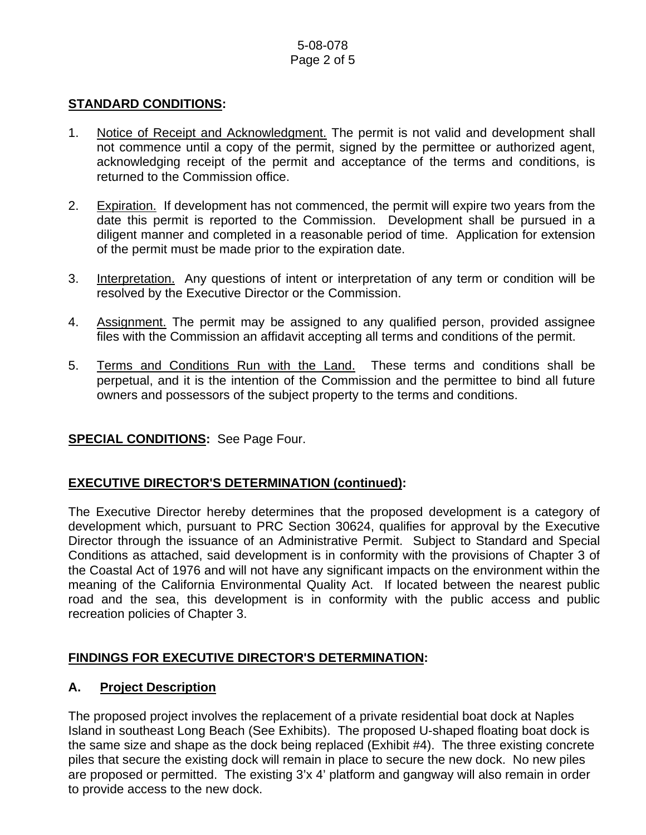## 5-08-078 Page 2 of 5

### **STANDARD CONDITIONS:**

- 1. Notice of Receipt and Acknowledgment. The permit is not valid and development shall not commence until a copy of the permit, signed by the permittee or authorized agent, acknowledging receipt of the permit and acceptance of the terms and conditions, is returned to the Commission office.
- 2. Expiration. If development has not commenced, the permit will expire two years from the date this permit is reported to the Commission. Development shall be pursued in a diligent manner and completed in a reasonable period of time. Application for extension of the permit must be made prior to the expiration date.
- 3. Interpretation. Any questions of intent or interpretation of any term or condition will be resolved by the Executive Director or the Commission.
- 4. Assignment. The permit may be assigned to any qualified person, provided assignee files with the Commission an affidavit accepting all terms and conditions of the permit.
- 5. Terms and Conditions Run with the Land. These terms and conditions shall be perpetual, and it is the intention of the Commission and the permittee to bind all future owners and possessors of the subject property to the terms and conditions.

# **SPECIAL CONDITIONS:** See Page Four.

# **EXECUTIVE DIRECTOR'S DETERMINATION (continued):**

The Executive Director hereby determines that the proposed development is a category of development which, pursuant to PRC Section 30624, qualifies for approval by the Executive Director through the issuance of an Administrative Permit. Subject to Standard and Special Conditions as attached, said development is in conformity with the provisions of Chapter 3 of the Coastal Act of 1976 and will not have any significant impacts on the environment within the meaning of the California Environmental Quality Act. If located between the nearest public road and the sea, this development is in conformity with the public access and public recreation policies of Chapter 3.

# **FINDINGS FOR EXECUTIVE DIRECTOR'S DETERMINATION:**

### **A. Project Description**

The proposed project involves the replacement of a private residential boat dock at Naples Island in southeast Long Beach (See Exhibits). The proposed U-shaped floating boat dock is the same size and shape as the dock being replaced (Exhibit #4). The three existing concrete piles that secure the existing dock will remain in place to secure the new dock. No new piles are proposed or permitted. The existing 3'x 4' platform and gangway will also remain in order to provide access to the new dock.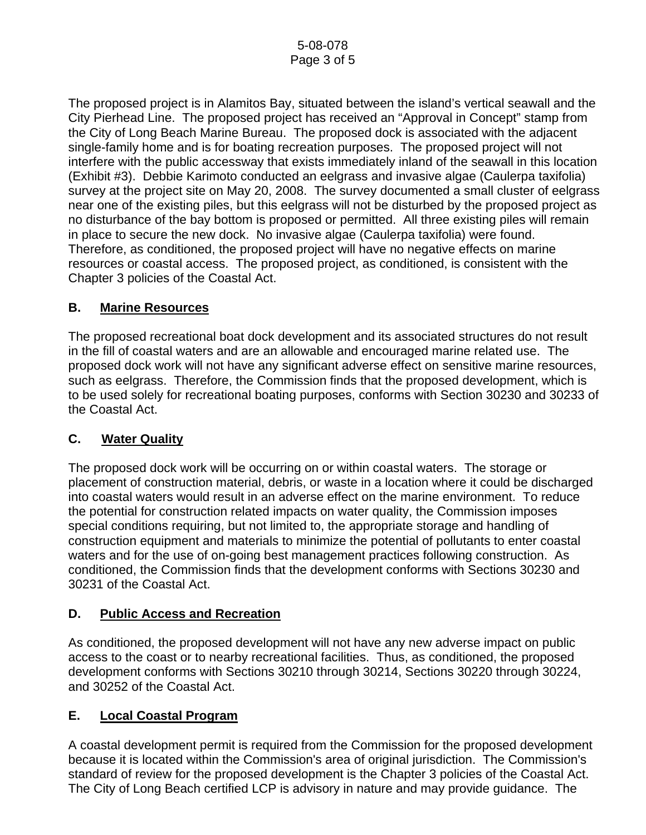The proposed project is in Alamitos Bay, situated between the island's vertical seawall and the City Pierhead Line. The proposed project has received an "Approval in Concept" stamp from the City of Long Beach Marine Bureau. The proposed dock is associated with the adjacent single-family home and is for boating recreation purposes. The proposed project will not interfere with the public accessway that exists immediately inland of the seawall in this location (Exhibit #3). Debbie Karimoto conducted an eelgrass and invasive algae (Caulerpa taxifolia) survey at the project site on May 20, 2008. The survey documented a small cluster of eelgrass near one of the existing piles, but this eelgrass will not be disturbed by the proposed project as no disturbance of the bay bottom is proposed or permitted. All three existing piles will remain in place to secure the new dock. No invasive algae (Caulerpa taxifolia) were found. Therefore, as conditioned, the proposed project will have no negative effects on marine resources or coastal access. The proposed project, as conditioned, is consistent with the Chapter 3 policies of the Coastal Act.

# **B. Marine Resources**

The proposed recreational boat dock development and its associated structures do not result in the fill of coastal waters and are an allowable and encouraged marine related use. The proposed dock work will not have any significant adverse effect on sensitive marine resources, such as eelgrass. Therefore, the Commission finds that the proposed development, which is to be used solely for recreational boating purposes, conforms with Section 30230 and 30233 of the Coastal Act.

# **C. Water Quality**

The proposed dock work will be occurring on or within coastal waters. The storage or placement of construction material, debris, or waste in a location where it could be discharged into coastal waters would result in an adverse effect on the marine environment. To reduce the potential for construction related impacts on water quality, the Commission imposes special conditions requiring, but not limited to, the appropriate storage and handling of construction equipment and materials to minimize the potential of pollutants to enter coastal waters and for the use of on-going best management practices following construction. As conditioned, the Commission finds that the development conforms with Sections 30230 and 30231 of the Coastal Act.

### **D. Public Access and Recreation**

As conditioned, the proposed development will not have any new adverse impact on public access to the coast or to nearby recreational facilities. Thus, as conditioned, the proposed development conforms with Sections 30210 through 30214, Sections 30220 through 30224, and 30252 of the Coastal Act.

# **E. Local Coastal Program**

A coastal development permit is required from the Commission for the proposed development because it is located within the Commission's area of original jurisdiction. The Commission's standard of review for the proposed development is the Chapter 3 policies of the Coastal Act. The City of Long Beach certified LCP is advisory in nature and may provide guidance. The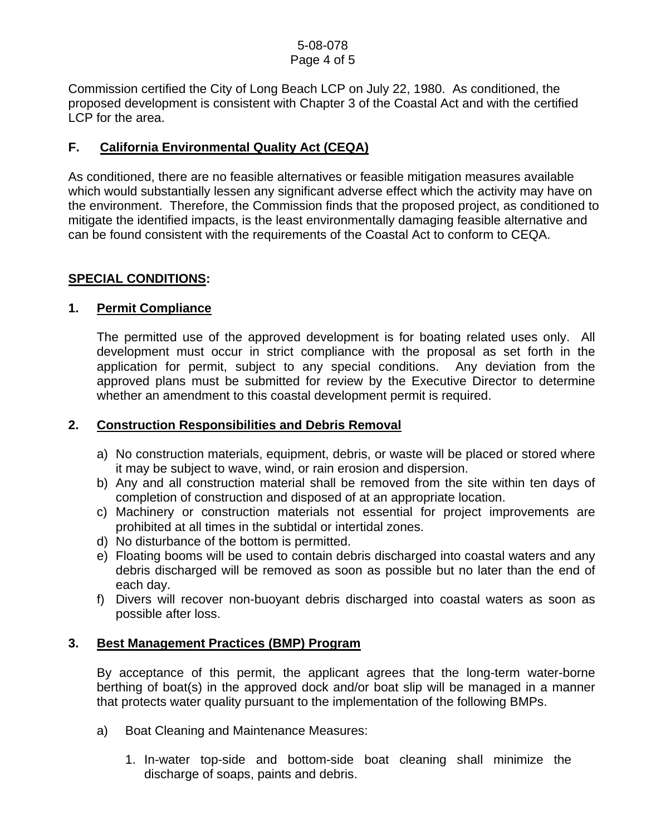#### 5-08-078 Page 4 of 5

Commission certified the City of Long Beach LCP on July 22, 1980. As conditioned, the proposed development is consistent with Chapter 3 of the Coastal Act and with the certified LCP for the area.

# **F. California Environmental Quality Act (CEQA)**

As conditioned, there are no feasible alternatives or feasible mitigation measures available which would substantially lessen any significant adverse effect which the activity may have on the environment. Therefore, the Commission finds that the proposed project, as conditioned to mitigate the identified impacts, is the least environmentally damaging feasible alternative and can be found consistent with the requirements of the Coastal Act to conform to CEQA.

### **SPECIAL CONDITIONS:**

#### **1. Permit Compliance**

 The permitted use of the approved development is for boating related uses only. All development must occur in strict compliance with the proposal as set forth in the application for permit, subject to any special conditions. Any deviation from the approved plans must be submitted for review by the Executive Director to determine whether an amendment to this coastal development permit is required.

### **2. Construction Responsibilities and Debris Removal**

- a) No construction materials, equipment, debris, or waste will be placed or stored where it may be subject to wave, wind, or rain erosion and dispersion.
- b) Any and all construction material shall be removed from the site within ten days of completion of construction and disposed of at an appropriate location.
- c) Machinery or construction materials not essential for project improvements are prohibited at all times in the subtidal or intertidal zones.
- d) No disturbance of the bottom is permitted.
- e) Floating booms will be used to contain debris discharged into coastal waters and any debris discharged will be removed as soon as possible but no later than the end of each day.
- f) Divers will recover non-buoyant debris discharged into coastal waters as soon as possible after loss.

### **3. Best Management Practices (BMP) Program**

By acceptance of this permit, the applicant agrees that the long-term water-borne berthing of boat(s) in the approved dock and/or boat slip will be managed in a manner that protects water quality pursuant to the implementation of the following BMPs.

- a) Boat Cleaning and Maintenance Measures:
	- 1. In-water top-side and bottom-side boat cleaning shall minimize the discharge of soaps, paints and debris.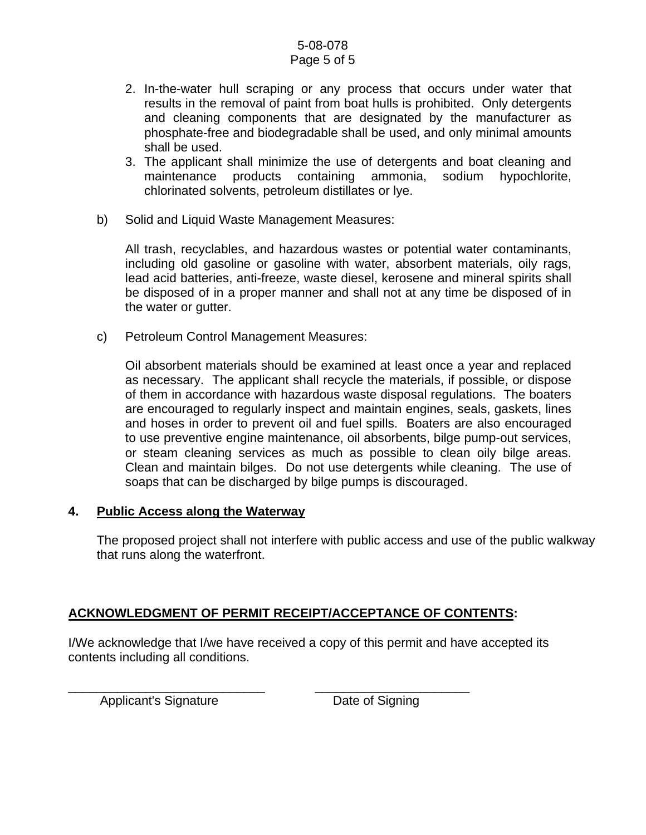#### 5-08-078 Page 5 of 5

- 2. In-the-water hull scraping or any process that occurs under water that results in the removal of paint from boat hulls is prohibited. Only detergents and cleaning components that are designated by the manufacturer as phosphate-free and biodegradable shall be used, and only minimal amounts shall be used.
- 3. The applicant shall minimize the use of detergents and boat cleaning and maintenance products containing ammonia, sodium hypochlorite, chlorinated solvents, petroleum distillates or lye.
- b) Solid and Liquid Waste Management Measures:

All trash, recyclables, and hazardous wastes or potential water contaminants, including old gasoline or gasoline with water, absorbent materials, oily rags, lead acid batteries, anti-freeze, waste diesel, kerosene and mineral spirits shall be disposed of in a proper manner and shall not at any time be disposed of in the water or gutter.

c) Petroleum Control Management Measures:

Oil absorbent materials should be examined at least once a year and replaced as necessary. The applicant shall recycle the materials, if possible, or dispose of them in accordance with hazardous waste disposal regulations. The boaters are encouraged to regularly inspect and maintain engines, seals, gaskets, lines and hoses in order to prevent oil and fuel spills. Boaters are also encouraged to use preventive engine maintenance, oil absorbents, bilge pump-out services, or steam cleaning services as much as possible to clean oily bilge areas. Clean and maintain bilges. Do not use detergents while cleaning. The use of soaps that can be discharged by bilge pumps is discouraged.

### **4. Public Access along the Waterway**

The proposed project shall not interfere with public access and use of the public walkway that runs along the waterfront.

# **ACKNOWLEDGMENT OF PERMIT RECEIPT/ACCEPTANCE OF CONTENTS:**

I/We acknowledge that I/we have received a copy of this permit and have accepted its contents including all conditions.

Applicant's Signature **Date of Signing** 

\_\_\_\_\_\_\_\_\_\_\_\_\_\_\_\_\_\_\_\_\_\_\_\_\_\_\_\_ \_\_\_\_\_\_\_\_\_\_\_\_\_\_\_\_\_\_\_\_\_\_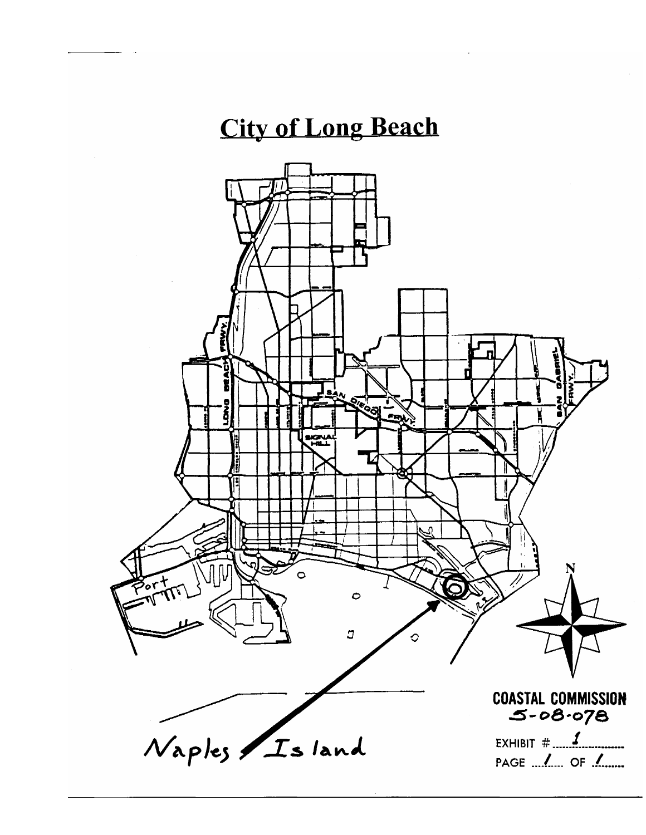# **City of Long Beach**

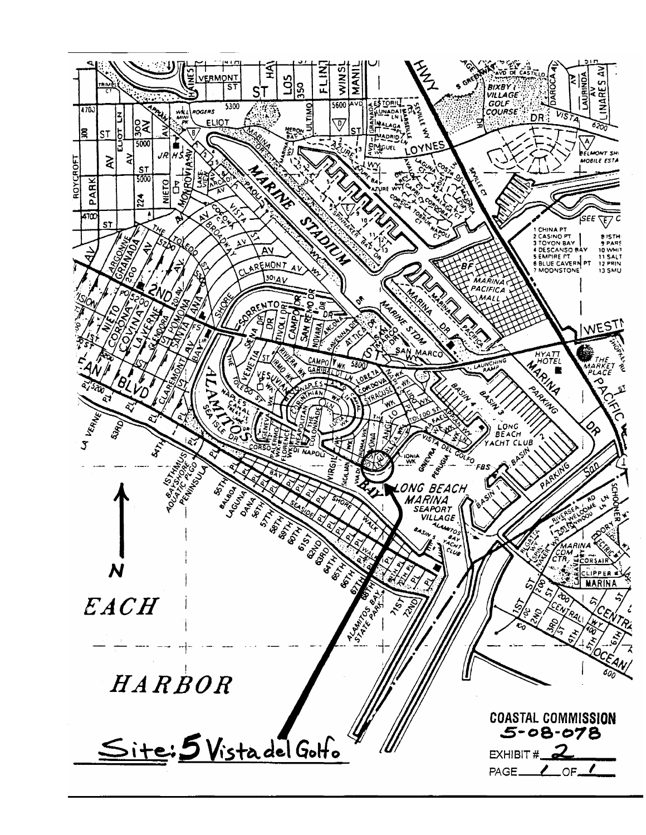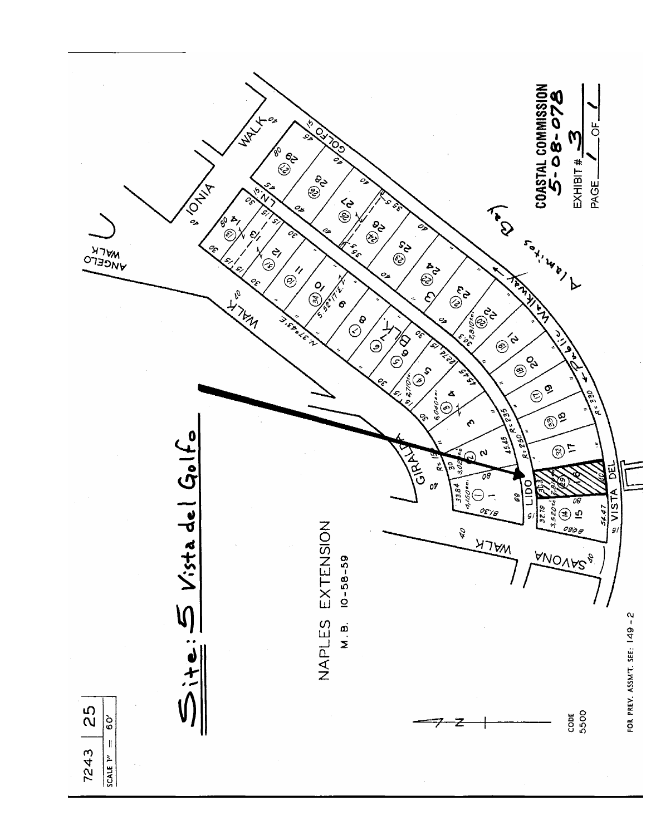